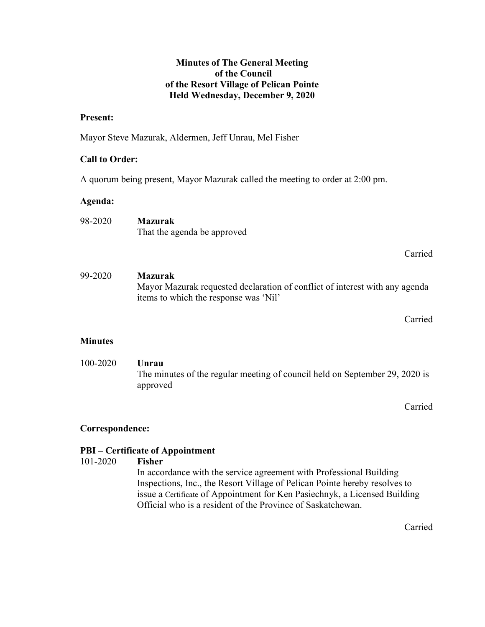## Minutes of The General Meeting of the Council of the Resort Village of Pelican Pointe Held Wednesday, December 9, 2020

## Present:

Mayor Steve Mazurak, Aldermen, Jeff Unrau, Mel Fisher

## Call to Order:

A quorum being present, Mayor Mazurak called the meeting to order at 2:00 pm.

## Agenda:

| 98-2020 | <b>Mazurak</b>              |
|---------|-----------------------------|
|         | That the agenda be approved |

## Carried

99-2020 Mazurak Mayor Mazurak requested declaration of conflict of interest with any agenda items to which the response was 'Nil'

Carried

## **Minutes**

 100-2020 Unrau The minutes of the regular meeting of council held on September 29, 2020 is approved

Carried

## Correspondence:

## PBI – Certificate of Appointment

## 101-2020 Fisher

In accordance with the service agreement with Professional Building Inspections, Inc., the Resort Village of Pelican Pointe hereby resolves to issue a Certificate of Appointment for Ken Pasiechnyk, a Licensed Building Official who is a resident of the Province of Saskatchewan.

Carried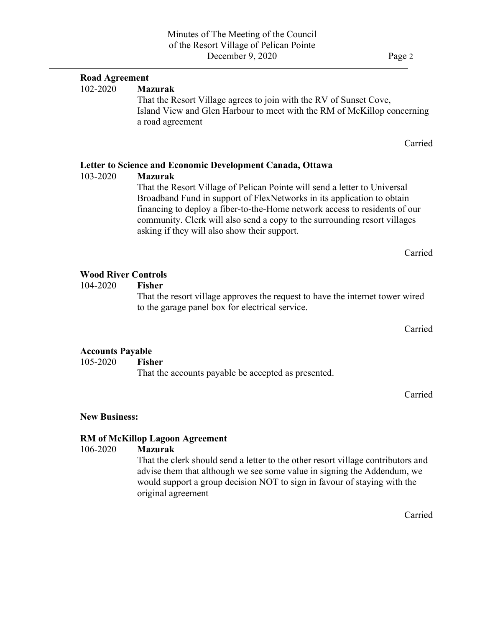# 102-2020 Mazurak That the Resort Village agrees to join with the RV of Sunset Cove, Island View and Glen Harbour to meet with the RM of McKillop concerning a road agreement Letter to Science and Economic Development Canada, Ottawa 103-2020 Mazurak That the Resort Village of Pelican Pointe will send a letter to Universal Broadband Fund in support of FlexNetworks in its application to obtain financing to deploy a fiber-to-the-Home network access to residents of our community. Clerk will also send a copy to the surrounding resort villages

asking if they will also show their support.

Carried

Carried

## Wood River Controls

 $\overline{a}$ 

Road Agreement

104-2020 Fisher

 That the resort village approves the request to have the internet tower wired to the garage panel box for electrical service.

Carried

#### Accounts Payable

105-2020 Fisher

That the accounts payable be accepted as presented.

Carried

#### New Business:

## RM of McKillop Lagoon Agreement

## 106-2020 Mazurak

 That the clerk should send a letter to the other resort village contributors and advise them that although we see some value in signing the Addendum, we would support a group decision NOT to sign in favour of staying with the original agreement

Carried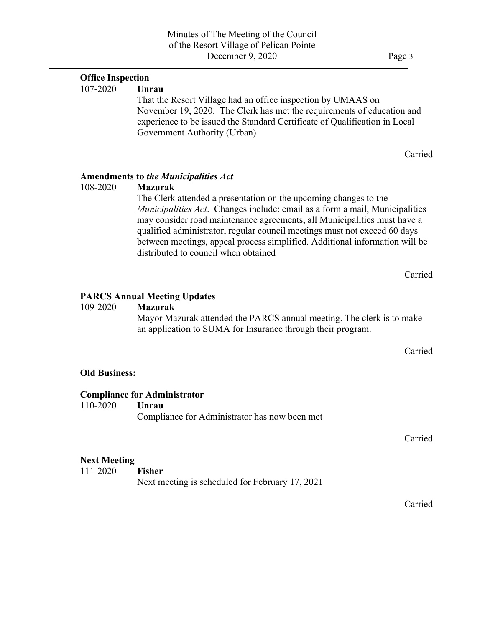## Office Inspection

107-2020 Unrau

That the Resort Village had an office inspection by UMAAS on November 19, 2020. The Clerk has met the requirements of education and experience to be issued the Standard Certificate of Qualification in Local Government Authority (Urban)

Carried

### Amendments to the Municipalities Act

 $\overline{a}$ 

108-2020 Mazurak

The Clerk attended a presentation on the upcoming changes to the Municipalities Act. Changes include: email as a form a mail, Municipalities may consider road maintenance agreements, all Municipalities must have a qualified administrator, regular council meetings must not exceed 60 days between meetings, appeal process simplified. Additional information will be distributed to council when obtained

Carried

### PARCS Annual Meeting Updates

### 109-2020 Mazurak

 Mayor Mazurak attended the PARCS annual meeting. The clerk is to make an application to SUMA for Insurance through their program.

Carried

#### Old Business:

#### Compliance for Administrator

110-2020 Unrau Compliance for Administrator has now been met

Carried

#### Next Meeting

111-2020 Fisher Next meeting is scheduled for February 17, 2021

Carried